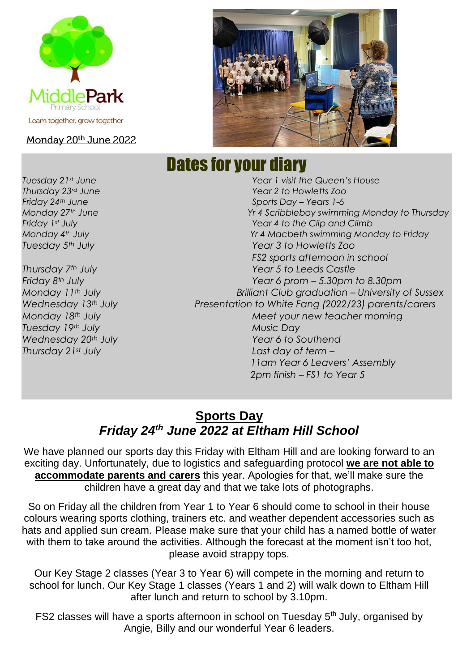

### Monday 20th June 2022

# Dates for your diary

*Tuesday 21st June Year 1 visit the Queen's House Thursday 23rd June Year 2 to Howletts Zoo Friday 24th June Sports Day – Years 1-6 Monday 27th June Yr 4 Scribbleboy swimming Monday to Thursday Friday 1st July Year 4 to the Clip and Climb Monday 4th July Yr 4 Macbeth swimming Monday to Friday Tuesday 5th July Year 3 to Howletts Zoo FS2 sports afternoon in school Thursday 7th July Year 5 to Leeds Castle Friday 8th July Year 6 prom – 5.30pm to 8.30pm Monday 11th July Brilliant Club graduation – University of Sussex Wednesday 13th July Presentation to White Fang (2022/23) parents/carers Monday 18th July Meet your new teacher morning Tuesday 19th July Music Day Wednesday 20th July Year 6 to Southend Thursday 21st July Last day of term – 11am Year 6 Leavers' Assembly 2pm finish – FS1 to Year 5*

### **Sports Day** *Friday 24th June 2022 at Eltham Hill School*

We have planned our sports day this Friday with Eltham Hill and are looking forward to an exciting day. Unfortunately, due to logistics and safeguarding protocol **we are not able to accommodate parents and carers** this year. Apologies for that, we'll make sure the children have a great day and that we take lots of photographs.

So on Friday all the children from Year 1 to Year 6 should come to school in their house colours wearing sports clothing, trainers etc. and weather dependent accessories such as hats and applied sun cream. Please make sure that your child has a named bottle of water with them to take around the activities. Although the forecast at the moment isn't too hot, please avoid strappy tops.

Our Key Stage 2 classes (Year 3 to Year 6) will compete in the morning and return to school for lunch. Our Key Stage 1 classes (Years 1 and 2) will walk down to Eltham Hill after lunch and return to school by 3.10pm.

FS2 classes will have a sports afternoon in school on Tuesday 5<sup>th</sup> July, organised by Angie, Billy and our wonderful Year 6 leaders.